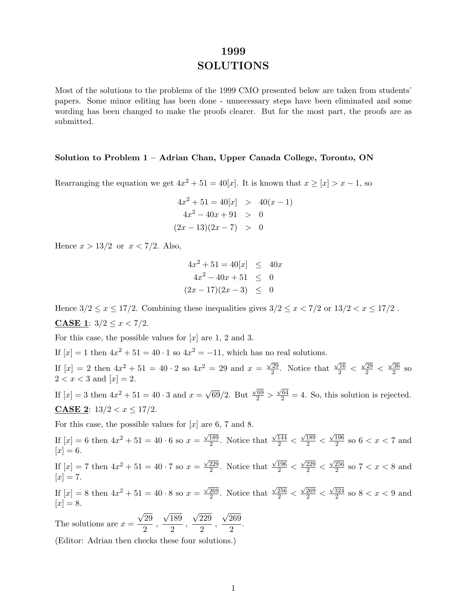# **1999 SOLUTIONS**

Most of the solutions to the problems of the 1999 CMO presented below are taken from students' papers. Some minor editing has been done - unnecessary steps have been eliminated and some wording has been changed to make the proofs clearer. But for the most part, the proofs are as submitted.

#### **Solution to Problem 1 – Adrian Chan, Upper Canada College, Toronto, ON**

Rearranging the equation we get  $4x^2 + 51 = 40[x]$ . It is known that  $x \geq [x] > x - 1$ , so

$$
4x2 + 51 = 40[x] > 40(x - 1)
$$
  

$$
4x2 - 40x + 91 > 0
$$
  

$$
(2x - 13)(2x - 7) > 0
$$

Hence  $x > 13/2$  or  $x < 7/2$ . Also,

$$
4x2 + 51 = 40[x] \le 40x
$$
  

$$
4x2 - 40x + 51 \le 0
$$
  

$$
(2x - 17)(2x - 3) \le 0
$$

Hence  $3/2 \le x \le 17/2$ . Combining these inequalities gives  $3/2 \le x < 7/2$  or  $13/2 < x \le 17/2$ . **CASE 1**:  $3/2 \leq x < 7/2$ .

For this case, the possible values for  $[x]$  are 1, 2 and 3.

If  $[x] = 1$  then  $4x^2 + 51 = 40 \cdot 1$  so  $4x^2 = -11$ , which has no real solutions.

If  $[x] = 2$  then  $4x^2 + 51 = 40 \cdot 2$  so  $4x^2 = 29$  and  $x = \frac{\sqrt{29}}{2}$ . Notice that  $\frac{\sqrt{16}}{2} < \frac{\sqrt{29}}{2} < \frac{\sqrt{36}}{2}$  so  $2 < x < 3$  and  $[x] = 2$ .

If  $[x] = 3$  then  $4x^2 + 51 = 40 \cdot 3$  and  $x = \sqrt{69}/2$ . But  $\frac{\sqrt{69}}{2} > \frac{\sqrt{64}}{2} = 4$ . So, this solution is rejected. **CASE 2**:  $13/2 < x \leq 17/2$ .

For this case, the possible values for  $[x]$  are 6, 7 and 8.

If  $[x] = 6$  then  $4x^2 + 51 = 40 \cdot 6$  so  $x = \frac{\sqrt{189}}{2}$ . Notice that  $\frac{\sqrt{144}}{2} < \frac{\sqrt{189}}{2} < \frac{\sqrt{196}}{2}$  so  $6 < x < 7$  and  $[x] = 6.$ If  $[x] = 7$  then  $4x^2 + 51 = 40 \cdot 7$  so  $x = \frac{\sqrt{229}}{2}$ . Notice that  $\frac{\sqrt{196}}{2} < \frac{\sqrt{229}}{2} < \frac{\sqrt{256}}{2}$  so  $7 < x < 8$  and  $[x] = 7.$ If  $[x] = 8$  then  $4x^2 + 51 = 40 \cdot 8$  so  $x = \frac{\sqrt{269}}{2}$ . Notice that  $\frac{\sqrt{256}}{2} < \frac{\sqrt{269}}{2} < \frac{\sqrt{324}}{2}$  so  $8 < x < 9$  and  $[x] = 8.$ The solutions are  $x = \frac{\sqrt{29}}{2}$  $rac{29}{2}$ ,  $\sqrt{189}$  $\frac{189}{2}$ ,  $\sqrt{229}$  $\frac{229}{2}$ ,  $\sqrt{269}$  $rac{200}{2}$ .

(Editor: Adrian then checks these four solutions.)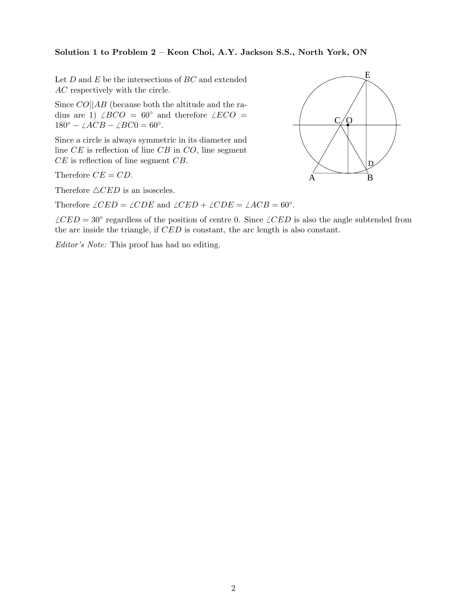### **Solution 1 to Problem 2 – Keon Choi, A.Y. Jackson S.S., North York, ON**

Let  $D$  and  $E$  be the intersections of  $BC$  and extended AC respectively with the circle.

Since  $CO||AB$  (because both the altitude and the radius are 1)  $\angle BCO = 60^\circ$  and therefore  $\angle ECO =$  $180^{\circ} - \angle ACB - \angle BC0 = 60^{\circ}.$ 

Since a circle is always symmetric in its diameter and line CE is reflection of line CB in CO, line segment  $CE$  is reflection of line segment  $CB$ .

Therefore  $\triangle CED$  is an isosceles.

Therefore  $\angle CED = \angle CDE$  and  $\angle CED + \angle CDE = \angle ACB = 60°$ .

 $\angle CED = 30\degree$  regardless of the position of centre 0. Since  $\angle CED$  is also the angle subtended from the arc inside the triangle, if CED is constant, the arc length is also constant.

Editor's Note: This proof has had no editing.

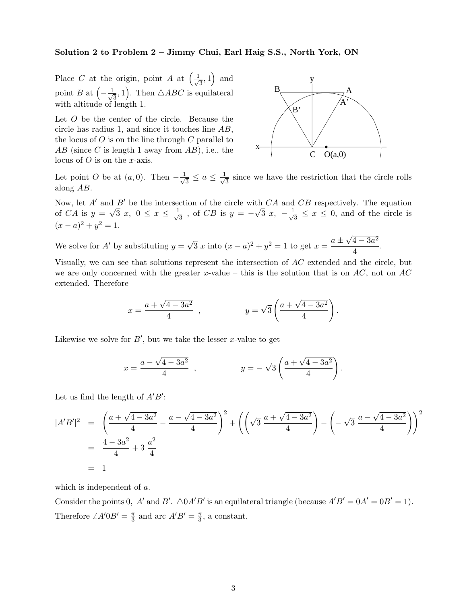#### **Solution 2 to Problem 2 – Jimmy Chui, Earl Haig S.S., North York, ON**

Place C at the origin, point A at  $\left(\frac{1}{\sqrt{3}}, 1\right)$  and point B at  $\left(-\frac{1}{\sqrt{3}},1\right)$ . Then  $\triangle ABC$  is equilateral with altitude of length 1.

Let O be the center of the circle. Because the circle has radius 1, and since it touches line AB, the locus of  $O$  is on the line through  $C$  parallel to  $AB$  (since C is length 1 away from  $AB$ ), i.e., the locus of O is on the x-axis.



Let point O be at  $(a, 0)$ . Then  $-\frac{1}{\sqrt{3}} \le a \le \frac{1}{\sqrt{3}}$  since we have the restriction that the circle rolls along AB.

Now, let  $A'$  and  $B'$  be the intersection of the circle with  $CA$  and  $CB$  respectively. The equation Now, let A and B be the intersection of the circle with CA and CB respectively. The equation<br>of CA is  $y = \sqrt{3} x$ ,  $0 \le x \le \frac{1}{\sqrt{3}}$ , of CB is  $y = -\sqrt{3} x$ ,  $-\frac{1}{\sqrt{3}} \le x \le 0$ , and of the circle is  $(x - a)^2 + y^2 = 1.$ 

We solve for A' by substituting  $y = \sqrt{3} x$  into  $(x - a)^2 + y^2 = 1$  to get  $x = \frac{a \pm \sqrt{4 - 3a^2}}{4}$  $\frac{1}{4}$ .

Visually, we can see that solutions represent the intersection of AC extended and the circle, but we are only concerned with the greater x-value – this is the solution that is on  $AC$ , not on AC extended. Therefore

$$
x = \frac{a + \sqrt{4 - 3a^2}}{4}
$$
,  $y = \sqrt{3} \left( \frac{a + \sqrt{4 - 3a^2}}{4} \right)$ .

Likewise we solve for  $B'$ , but we take the lesser x-value to get

$$
x = \frac{a - \sqrt{4 - 3a^2}}{4}
$$
,  $y = -\sqrt{3} \left( \frac{a + \sqrt{4 - 3a^2}}{4} \right)$ .

Let us find the length of  $A'B'$ :

$$
|A'B'|^2 = \left(\frac{a + \sqrt{4 - 3a^2}}{4} - \frac{a - \sqrt{4 - 3a^2}}{4}\right)^2 + \left(\left(\sqrt{3}\frac{a + \sqrt{4 - 3a^2}}{4}\right) - \left(-\sqrt{3}\frac{a - \sqrt{4 - 3a^2}}{4}\right)\right)^2
$$
  
=  $\frac{4 - 3a^2}{4} + 3\frac{a^2}{4}$   
= 1

which is independent of a.

Consider the points 0, A' and B'.  $\triangle 0A'B'$  is an equilateral triangle (because  $A'B' = 0A' = 0B' = 1$ ). Therefore  $\angle A'0B' = \frac{\pi}{3}$  and arc  $A'B' = \frac{\pi}{3}$ , a constant.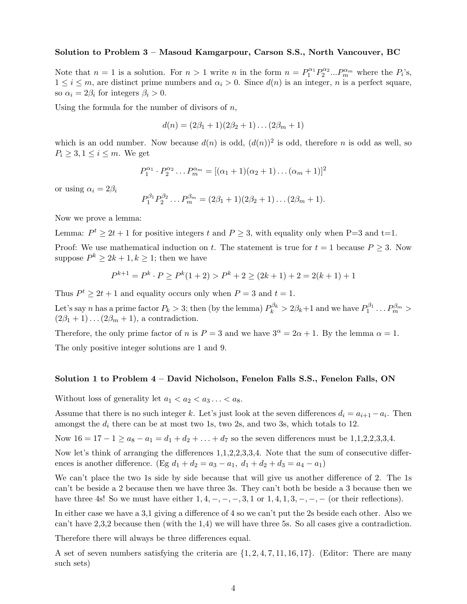### **Solution to Problem 3 – Masoud Kamgarpour, Carson S.S., North Vancouver, BC**

Note that  $n = 1$  is a solution. For  $n > 1$  write n in the form  $n = P_1^{\alpha_1} P_2^{\alpha_2} ... P_m^{\alpha_m}$  where the  $P_i$ 's,  $1 \leq i \leq m$ , are distinct prime numbers and  $\alpha_i > 0$ . Since  $d(n)$  is an integer, n is a perfect square, so  $\alpha_i = 2\beta_i$  for integers  $\beta_i > 0$ .

Using the formula for the number of divisors of  $n$ ,

$$
d(n) = (2\beta_1 + 1)(2\beta_2 + 1)\dots(2\beta_m + 1)
$$

which is an odd number. Now because  $d(n)$  is odd,  $(d(n))^2$  is odd, therefore n is odd as well, so  $P_i \geq 3, 1 \leq i \leq m$ . We get

$$
P_1^{\alpha_1} \cdot P_2^{\alpha_2} \dots P_m^{\alpha_m} = [(\alpha_1 + 1)(\alpha_2 + 1) \dots (\alpha_m + 1)]^2
$$

or using  $\alpha_i = 2\beta_i$ 

$$
P_1^{\beta_1} P_2^{\beta_2} \dots P_m^{\beta_m} = (2\beta_1 + 1)(2\beta_2 + 1)\dots(2\beta_m + 1).
$$

Now we prove a lemma:

Lemma:  $P^t \geq 2t + 1$  for positive integers t and  $P \geq 3$ , with equality only when P=3 and t=1.

Proof: We use mathematical induction on t. The statement is true for  $t = 1$  because  $P \ge 3$ . Now suppose  $P^k \geq 2k + 1, k \geq 1$ ; then we have

$$
P^{k+1} = P^k \cdot P \ge P^k(1+2) > P^k + 2 \ge (2k+1) + 2 = 2(k+1) + 1
$$

Thus  $P^t \geq 2t + 1$  and equality occurs only when  $P = 3$  and  $t = 1$ .

Let's say n has a prime factor  $P_k > 3$ ; then (by the lemma)  $P_k^{\beta_k} > 2\beta_k + 1$  and we have  $P_1^{\beta_1} \dots P_m^{\beta_m} >$  $(2\beta_1 + 1)\dots(2\beta_m + 1)$ , a contradiction.

Therefore, the only prime factor of n is  $P = 3$  and we have  $3^{\alpha} = 2\alpha + 1$ . By the lemma  $\alpha = 1$ .

The only positive integer solutions are 1 and 9.

#### **Solution 1 to Problem 4 – David Nicholson, Fenelon Falls S.S., Fenelon Falls, ON**

Without loss of generality let  $a_1 < a_2 < a_3 \ldots < a_8$ .

Assume that there is no such integer k. Let's just look at the seven differences  $d_i = a_{i+1} - a_i$ . Then amongst the  $d_i$  there can be at most two 1s, two 2s, and two 3s, which totals to 12.

Now  $16 = 17 - 1 \ge a_8 - a_1 = d_1 + d_2 + \ldots + d_7$  so the seven differences must be 1,1,2,2,3,3,4.

Now let's think of arranging the differences 1,1,2,2,3,3,4. Note that the sum of consecutive differences is another difference. (Eg  $d_1 + d_2 = a_3 - a_1$ ,  $d_1 + d_2 + d_3 = a_4 - a_1$ )

We can't place the two 1s side by side because that will give us another difference of 2. The 1s can't be beside a 2 because then we have three 3s. They can't both be beside a 3 because then we have three 4s! So we must have either  $1, 4, -, -, -, 3, 1 \text{ or } 1, 4, 1, 3, -, -, -$  (or their reflections).

In either case we have a 3,1 giving a difference of 4 so we can't put the 2s beside each other. Also we can't have 2,3,2 because then (with the 1,4) we will have three 5s. So all cases give a contradiction.

Therefore there will always be three differences equal.

A set of seven numbers satisfying the criteria are  $\{1, 2, 4, 7, 11, 16, 17\}$ . (Editor: There are many such sets)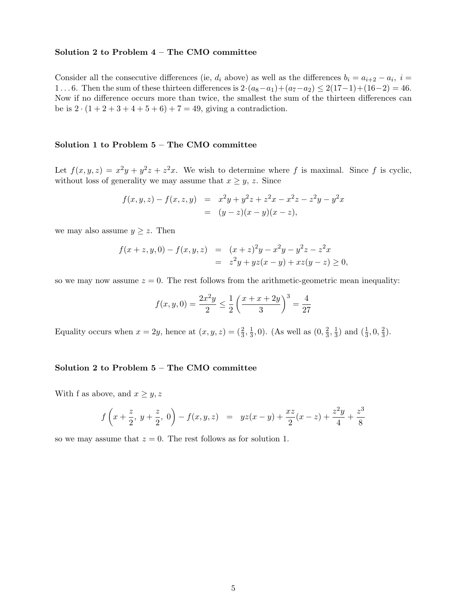#### **Solution 2 to Problem 4 – The CMO committee**

Consider all the consecutive differences (ie,  $d_i$  above) as well as the differences  $b_i = a_{i+2} - a_i$ ,  $i =$ 1...6. Then the sum of these thirteen differences is  $2 \cdot (a_8 - a_1) + (a_7 - a_2) \le 2(17-1) + (16-2) = 46$ . Now if no difference occurs more than twice, the smallest the sum of the thirteen differences can be is  $2 \cdot (1 + 2 + 3 + 4 + 5 + 6) + 7 = 49$ , giving a contradiction.

#### **Solution 1 to Problem 5 – The CMO committee**

Let  $f(x, y, z) = x^2y + y^2z + z^2x$ . We wish to determine where f is maximal. Since f is cyclic, without loss of generality we may assume that  $x \geq y$ , z. Since

$$
f(x, y, z) - f(x, z, y) = x2y + y2z + z2x - x2z - z2y - y2x
$$
  
=  $(y - z)(x - y)(x - z),$ 

we may also assume  $y \geq z$ . Then

$$
f(x+z, y, 0) - f(x, y, z) = (x + z)^2 y - x^2 y - y^2 z - z^2 x
$$
  
= 
$$
z^2 y + yz(x - y) + xz(y - z) \ge 0,
$$

so we may now assume  $z = 0$ . The rest follows from the arithmetic-geometric mean inequality:

$$
f(x, y, 0) = \frac{2x^2y}{2} \le \frac{1}{2} \left( \frac{x + x + 2y}{3} \right)^3 = \frac{4}{27}
$$

Equality occurs when  $x = 2y$ , hence at  $(x, y, z) = (\frac{2}{3}, \frac{1}{3}, 0)$ . (As well as  $(0, \frac{2}{3}, \frac{1}{3})$  and  $(\frac{1}{3}, 0, \frac{2}{3})$ .)

#### **Solution 2 to Problem 5 – The CMO committee**

With f as above, and  $x \geq y, z$ 

$$
f\left(x+\frac{z}{2}, y+\frac{z}{2}, 0\right)-f(x, y, z) = yz(x-y)+\frac{xz}{2}(x-z)+\frac{z^2y}{4}+\frac{z^3}{8}
$$

so we may assume that  $z = 0$ . The rest follows as for solution 1.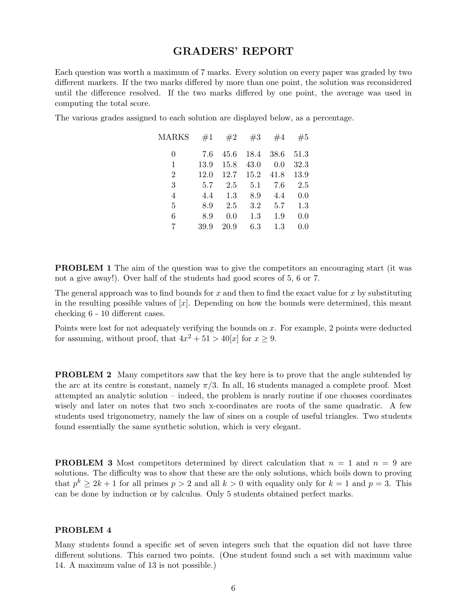## **GRADERS' REPORT**

Each question was worth a maximum of 7 marks. Every solution on every paper was graded by two different markers. If the two marks differed by more than one point, the solution was reconsidered until the difference resolved. If the two marks differed by one point, the average was used in computing the total score.

The various grades assigned to each solution are displayed below, as a percentage.

| MARKS          | #1   | #2   | #3   | #4   | #5   |
|----------------|------|------|------|------|------|
| 0              | 7.6  | 45.6 | 18.4 | 38.6 | 51.3 |
| 1              | 13.9 | 15.8 | 43.0 | 0.0  | 32.3 |
| $\overline{2}$ | 12.0 | 12.7 | 15.2 | 41.8 | 13.9 |
| 3              | 5.7  | 2.5  | 5.1  | 7.6  | 2.5  |
| 4              | 4.4  | 1.3  | 8.9  | 4.4  | 0.0  |
| 5              | 8.9  | 2.5  | 3.2  | 5.7  | 1.3  |
| 6              | 8.9  | 0.0  | 1.3  | 1.9  | 0.0  |
| 7              | 39.9 | 20.9 | 6.3  | 1.3  | 0.0  |
|                |      |      |      |      |      |

**PROBLEM 1** The aim of the question was to give the competitors an encouraging start (it was not a give away!). Over half of the students had good scores of 5, 6 or 7.

The general approach was to find bounds for  $x$  and then to find the exact value for  $x$  by substituting in the resulting possible values of  $[x]$ . Depending on how the bounds were determined, this meant checking 6 - 10 different cases.

Points were lost for not adequately verifying the bounds on x. For example, 2 points were deducted for assuming, without proof, that  $4x^2 + 51 > 40[x]$  for  $x \ge 9$ .

**PROBLEM 2** Many competitors saw that the key here is to prove that the angle subtended by the arc at its centre is constant, namely  $\pi/3$ . In all, 16 students managed a complete proof. Most attempted an analytic solution – indeed, the problem is nearly routine if one chooses coordinates wisely and later on notes that two such x-coordinates are roots of the same quadratic. A few students used trigonometry, namely the law of sines on a couple of useful triangles. Two students found essentially the same synthetic solution, which is very elegant.

**PROBLEM 3** Most competitors determined by direct calculation that  $n = 1$  and  $n = 9$  are solutions. The difficulty was to show that these are the only solutions, which boils down to proving that  $p^k > 2k + 1$  for all primes  $p > 2$  and all  $k > 0$  with equality only for  $k = 1$  and  $p = 3$ . This can be done by induction or by calculus. Only 5 students obtained perfect marks.

#### **PROBLEM 4**

Many students found a specific set of seven integers such that the equation did not have three different solutions. This earned two points. (One student found such a set with maximum value 14. A maximum value of 13 is not possible.)